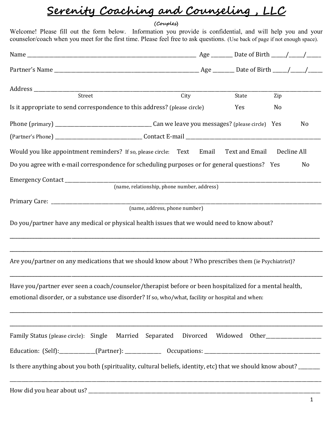## Serenity Coaching and Counseling , LLC

## (Couples)

Welcome! Please fill out the form below. Information you provide is confidential, and will help you and your counselor/coach when you meet for the first time. Please feel free to ask questions. (Use back of page if not enough space).

| Street                                                                                                                                                                                                      | City | State          | Zip         |                |
|-------------------------------------------------------------------------------------------------------------------------------------------------------------------------------------------------------------|------|----------------|-------------|----------------|
| Is it appropriate to send correspondence to this address? (please circle)                                                                                                                                   |      | Yes            | No          |                |
|                                                                                                                                                                                                             |      |                |             | No             |
|                                                                                                                                                                                                             |      |                |             |                |
| Would you like appointment reminders? If so, please circle: Text Email                                                                                                                                      |      | Text and Email | Decline All |                |
| Do you agree with e-mail correspondence for scheduling purposes or for general questions? Yes                                                                                                               |      |                |             | N <sub>0</sub> |
|                                                                                                                                                                                                             |      |                |             |                |
| (name, relationship, phone number, address)                                                                                                                                                                 |      |                |             |                |
|                                                                                                                                                                                                             |      |                |             |                |
| (name, address, phone number)                                                                                                                                                                               |      |                |             |                |
| Do you/partner have any medical or physical health issues that we would need to know about?                                                                                                                 |      |                |             |                |
| Are you/partner on any medications that we should know about? Who prescribes them (ie Psychiatrist)?                                                                                                        |      |                |             |                |
| Have you/partner ever seen a coach/counselor/therapist before or been hospitalized for a mental health,<br>emotional disorder, or a substance use disorder? If so, who/what, facility or hospital and when: |      |                |             |                |
| Family Status (please circle): Single Married Separated Divorced Widowed Other                                                                                                                              |      |                |             |                |
|                                                                                                                                                                                                             |      |                |             |                |
| Is there anything about you both (spirituality, cultural beliefs, identity, etc) that we should know about? ______                                                                                          |      |                |             |                |
|                                                                                                                                                                                                             |      |                |             |                |